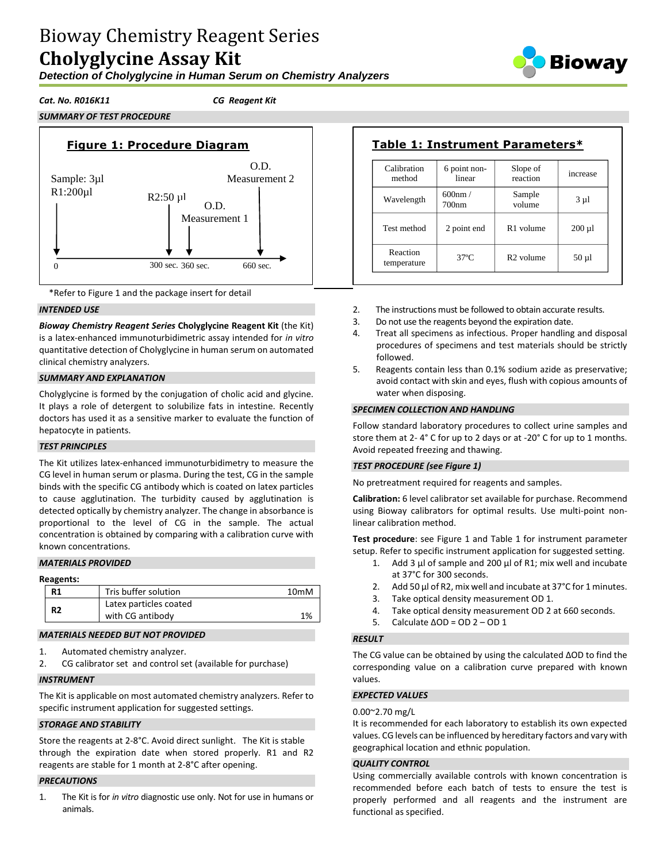# Bioway Chemistry Reagent Series **Cholyglycine Assay Kit**

Bioway

*Detection of Cholyglycine in Human Serum on Chemistry Analyzers*

*Cat. No. R016K11 CG Reagent Kit*







### *INTENDED USE*

*Bioway Chemistry Reagent Series* **Cholyglycine Reagent Kit** (the Kit) is a latex-enhanced immunoturbidimetric assay intended for *in vitro* quantitative detection of Cholyglycine in human serum on automated clinical chemistry analyzers.

### *SUMMARY AND EXPLANATION*

Cholyglycine is formed by the conjugation of cholic acid and glycine. It plays a role of detergent to solubilize fats in intestine. Recently doctors has used it as a sensitive marker to evaluate the function of hepatocyte in patients.

### *TEST PRINCIPLES*

The Kit utilizes latex-enhanced immunoturbidimetry to measure the CG level in human serum or plasma. During the test, CG in the sample binds with the specific CG antibody which is coated on latex particles to cause agglutination. The turbidity caused by agglutination is detected optically by chemistry analyzer. The change in absorbance is proportional to the level of CG in the sample. The actual concentration is obtained by comparing with a calibration curve with known concentrations.

### *MATERIALS PROVIDED*

### **Reagents:**

| R <sub>1</sub> | Tris buffer solution   | 10 <sub>m</sub> M |
|----------------|------------------------|-------------------|
| R <sub>2</sub> | Latex particles coated |                   |
|                | with CG antibody       | 1%                |

### *MATERIALS NEEDED BUT NOT PROVIDED*

- 1. Automated chemistry analyzer.
- 2. CG calibrator set and control set (available for purchase)

### *INSTRUMENT*

The Kit is applicable on most automated chemistry analyzers. Refer to specific instrument application for suggested settings.

### *STORAGE AND STABILITY*

Store the reagents at 2-8°C. Avoid direct sunlight. The Kit is stable through the expiration date when stored properly. R1 and R2 reagents are stable for 1 month at 2-8°C after opening.

### *PRECAUTIONS*

1. The Kit is for *in vitro* diagnostic use only. Not for use in humans or animals.

## **Table 1: Instrument Parameters\***

| Calibration<br>method   | 6 point non-<br>linear      | Slope of<br>reaction  | increase    |
|-------------------------|-----------------------------|-----------------------|-------------|
| Wavelength              | 600nm/<br>700 <sub>nm</sub> | Sample<br>volume      | $3 \mu l$   |
| Test method             | 2 point end                 | R <sub>1</sub> volume | $200 \mu l$ |
| Reaction<br>temperature | $37^\circ$ C                | R <sub>2</sub> volume | $50 \mu l$  |

- 2. The instructions must be followed to obtain accurate results.
- 3. Do not use the reagents beyond the expiration date.
- 4. Treat all specimens as infectious. Proper handling and disposal procedures of specimens and test materials should be strictly followed.
- 5. Reagents contain less than 0.1% sodium azide as preservative; avoid contact with skin and eyes, flush with copious amounts of water when disposing.

### *SPECIMEN COLLECTION AND HANDLING*

Follow standard laboratory procedures to collect urine samples and store them at 2- 4° C for up to 2 days or at -20° C for up to 1 months. Avoid repeated freezing and thawing.

### *TEST PROCEDURE (see Figure 1)*

No pretreatment required for reagents and samples.

**Calibration:** 6 level calibrator set available for purchase. Recommend using Bioway calibrators for optimal results. Use multi-point nonlinear calibration method.

**Test procedure**: see Figure 1 and Table 1 for instrument parameter setup. Refer to specific instrument application for suggested setting.

- 1. Add 3  $\mu$ l of sample and 200  $\mu$ l of R1; mix well and incubate at 37°C for 300 seconds.
- 2. Add 50 µl of R2, mix well and incubate at 37°C for 1 minutes.
- 3. Take optical density measurement OD 1.
- 4. Take optical density measurement OD 2 at 660 seconds.
- 5. Calculate ΔOD = OD 2 OD 1

### *RESULT*

The CG value can be obtained by using the calculated ΔOD to find the corresponding value on a calibration curve prepared with known values.

### *EXPECTED VALUES*

### 0.00~2.70 mg/L

It is recommended for each laboratory to establish its own expected values. CG levels can be influenced by hereditary factors and vary with geographical location and ethnic population.

### *QUALITY CONTROL*

Using commercially available controls with known concentration is recommended before each batch of tests to ensure the test is properly performed and all reagents and the instrument are functional as specified.